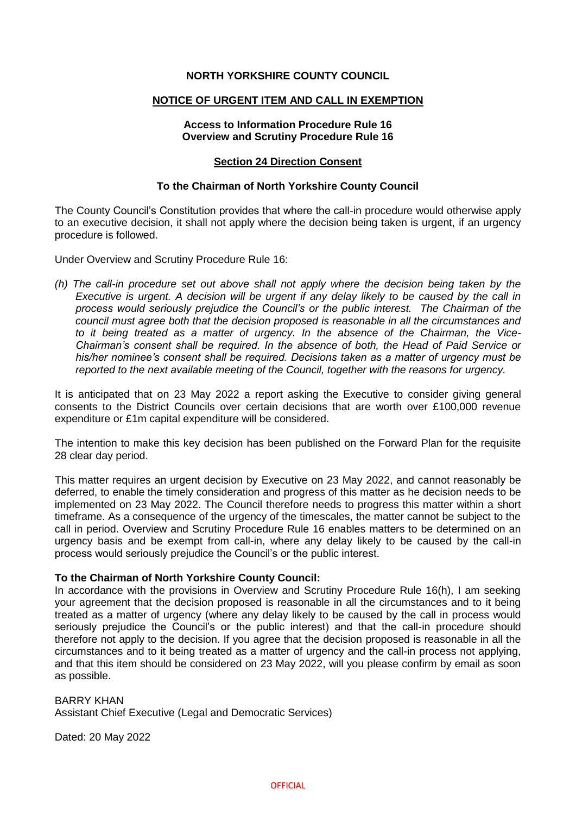## **NORTH YORKSHIRE COUNTY COUNCIL**

#### **NOTICE OF URGENT ITEM AND CALL IN EXEMPTION**

## **Access to Information Procedure Rule 16 Overview and Scrutiny Procedure Rule 16**

## **Section 24 Direction Consent**

#### **To the Chairman of North Yorkshire County Council**

The County Council's Constitution provides that where the call-in procedure would otherwise apply to an executive decision, it shall not apply where the decision being taken is urgent, if an urgency procedure is followed.

Under Overview and Scrutiny Procedure Rule 16:

*(h) The call-in procedure set out above shall not apply where the decision being taken by the Executive is urgent. A decision will be urgent if any delay likely to be caused by the call in process would seriously prejudice the Council's or the public interest. The Chairman of the council must agree both that the decision proposed is reasonable in all the circumstances and to it being treated as a matter of urgency. In the absence of the Chairman, the Vice-Chairman's consent shall be required. In the absence of both, the Head of Paid Service or his/her nominee's consent shall be required. Decisions taken as a matter of urgency must be reported to the next available meeting of the Council, together with the reasons for urgency.*

It is anticipated that on 23 May 2022 a report asking the Executive to consider giving general consents to the District Councils over certain decisions that are worth over £100,000 revenue expenditure or £1m capital expenditure will be considered.

The intention to make this key decision has been published on the Forward Plan for the requisite 28 clear day period.

This matter requires an urgent decision by Executive on 23 May 2022, and cannot reasonably be deferred, to enable the timely consideration and progress of this matter as he decision needs to be implemented on 23 May 2022. The Council therefore needs to progress this matter within a short timeframe. As a consequence of the urgency of the timescales, the matter cannot be subject to the call in period. Overview and Scrutiny Procedure Rule 16 enables matters to be determined on an urgency basis and be exempt from call-in, where any delay likely to be caused by the call-in process would seriously prejudice the Council's or the public interest.

# **To the Chairman of North Yorkshire County Council:**

In accordance with the provisions in Overview and Scrutiny Procedure Rule 16(h), I am seeking your agreement that the decision proposed is reasonable in all the circumstances and to it being treated as a matter of urgency (where any delay likely to be caused by the call in process would seriously prejudice the Council's or the public interest) and that the call-in procedure should therefore not apply to the decision. If you agree that the decision proposed is reasonable in all the circumstances and to it being treated as a matter of urgency and the call-in process not applying, and that this item should be considered on 23 May 2022, will you please confirm by email as soon as possible.

## BARRY KHAN Assistant Chief Executive (Legal and Democratic Services)

Dated: 20 May 2022